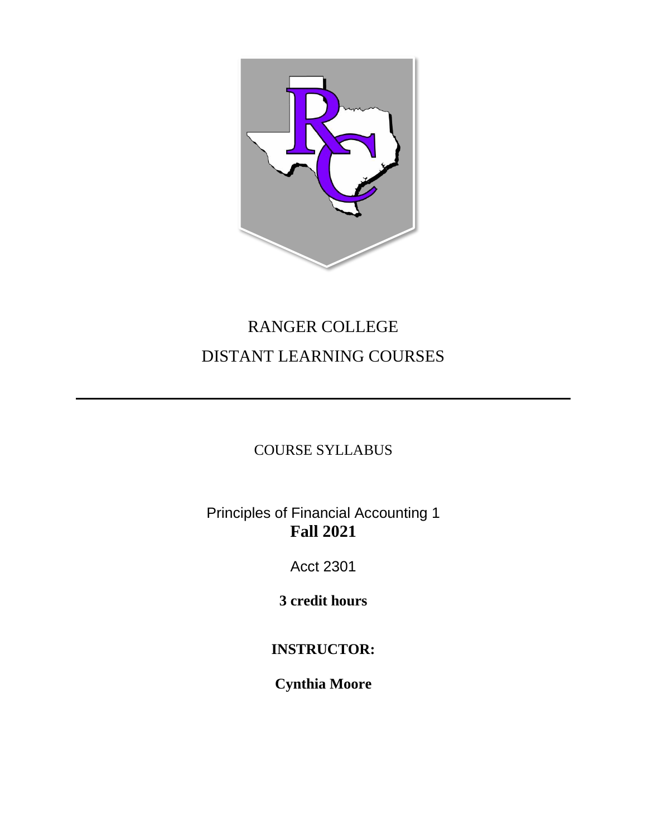

# RANGER COLLEGE DISTANT LEARNING COURSES

# COURSE SYLLABUS

# Principles of Financial Accounting 1 **Fall 2021**

Acct 2301

**3 credit hours**

# **INSTRUCTOR:**

**Cynthia Moore**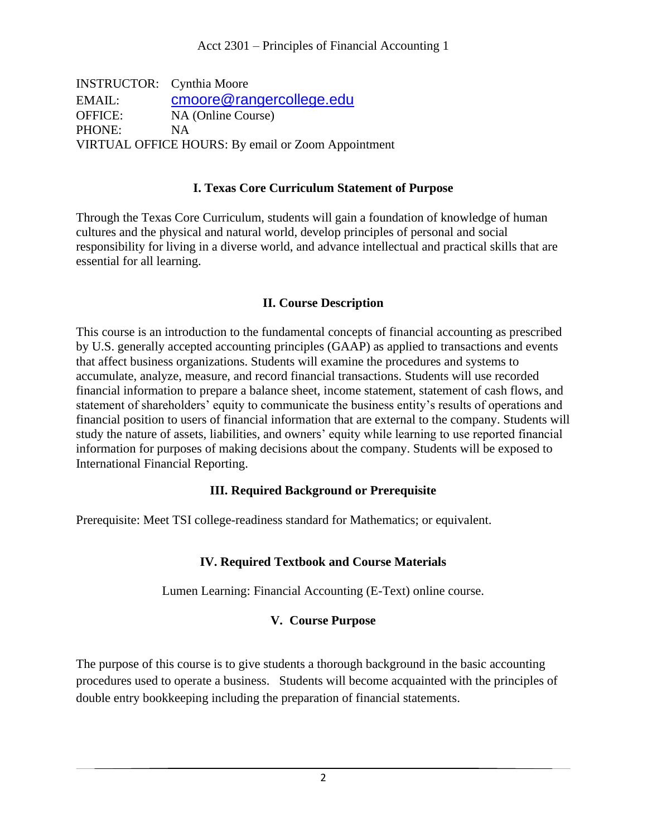INSTRUCTOR: Cynthia Moore EMAIL: [cmoore@rangercollege.edu](mailto:cmoore@rangercollege.edu) OFFICE: NA (Online Course) PHONE: NA VIRTUAL OFFICE HOURS: By email or Zoom Appointment

#### **I. Texas Core Curriculum Statement of Purpose**

Through the Texas Core Curriculum, students will gain a foundation of knowledge of human cultures and the physical and natural world, develop principles of personal and social responsibility for living in a diverse world, and advance intellectual and practical skills that are essential for all learning.

#### **II. Course Description**

This course is an introduction to the fundamental concepts of financial accounting as prescribed by U.S. generally accepted accounting principles (GAAP) as applied to transactions and events that affect business organizations. Students will examine the procedures and systems to accumulate, analyze, measure, and record financial transactions. Students will use recorded financial information to prepare a balance sheet, income statement, statement of cash flows, and statement of shareholders' equity to communicate the business entity's results of operations and financial position to users of financial information that are external to the company. Students will study the nature of assets, liabilities, and owners' equity while learning to use reported financial information for purposes of making decisions about the company. Students will be exposed to International Financial Reporting.

#### **III. Required Background or Prerequisite**

Prerequisite: Meet TSI college-readiness standard for Mathematics; or equivalent.

#### **IV. Required Textbook and Course Materials**

Lumen Learning: Financial Accounting (E-Text) online course.

#### **V. Course Purpose**

The purpose of this course is to give students a thorough background in the basic accounting procedures used to operate a business. Students will become acquainted with the principles of double entry bookkeeping including the preparation of financial statements.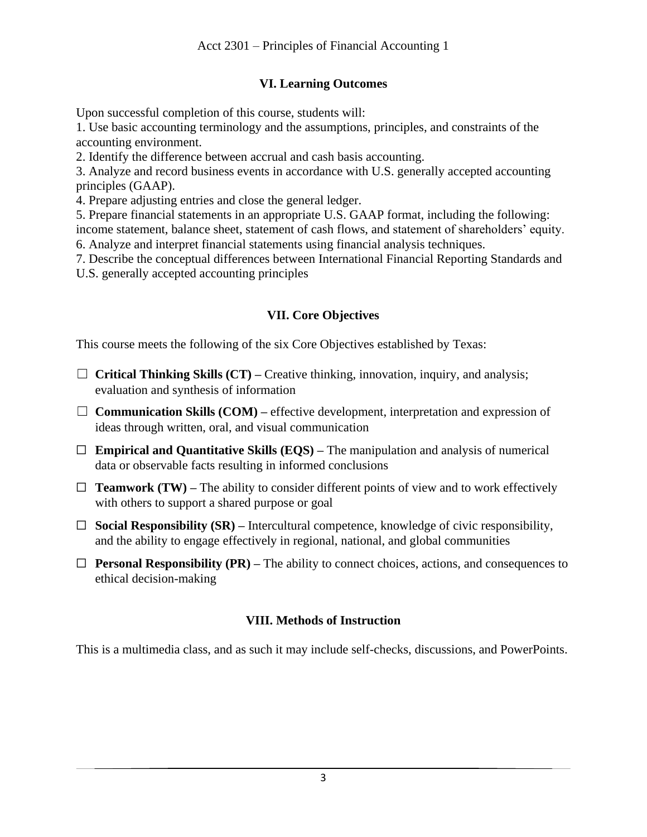## **VI. Learning Outcomes**

Upon successful completion of this course, students will:

1. Use basic accounting terminology and the assumptions, principles, and constraints of the accounting environment.

2. Identify the difference between accrual and cash basis accounting.

3. Analyze and record business events in accordance with U.S. generally accepted accounting principles (GAAP).

4. Prepare adjusting entries and close the general ledger.

5. Prepare financial statements in an appropriate U.S. GAAP format, including the following:

income statement, balance sheet, statement of cash flows, and statement of shareholders' equity. 6. Analyze and interpret financial statements using financial analysis techniques.

7. Describe the conceptual differences between International Financial Reporting Standards and

U.S. generally accepted accounting principles

#### **VII. Core Objectives**

This course meets the following of the six Core Objectives established by Texas:

- ☐ **Critical Thinking Skills (CT) –** Creative thinking, innovation, inquiry, and analysis; evaluation and synthesis of information
- □ **Communication Skills (COM)** effective development, interpretation and expression of ideas through written, oral, and visual communication
- ☐ **Empirical and Quantitative Skills (EQS) –** The manipulation and analysis of numerical data or observable facts resulting in informed conclusions
- $\Box$  **Teamwork (TW)** The ability to consider different points of view and to work effectively with others to support a shared purpose or goal
- ☐ **Social Responsibility (SR) –** Intercultural competence, knowledge of civic responsibility, and the ability to engage effectively in regional, national, and global communities
- ☐ **Personal Responsibility (PR) –** The ability to connect choices, actions, and consequences to ethical decision-making

## **VIII. Methods of Instruction**

This is a multimedia class, and as such it may include self-checks, discussions, and PowerPoints.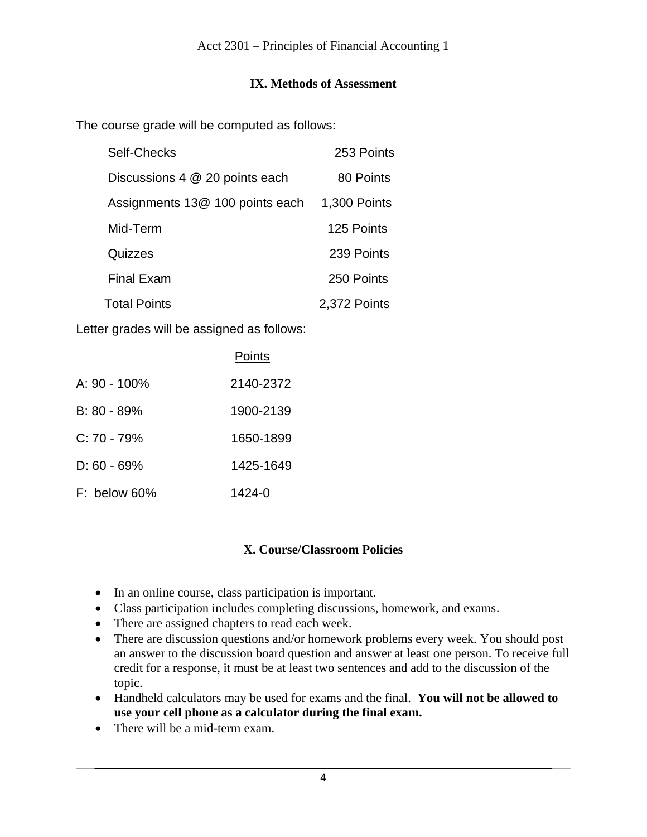#### **IX. Methods of Assessment**

The course grade will be computed as follows:

| Self-Checks                     | 253 Points   |
|---------------------------------|--------------|
| Discussions 4 @ 20 points each  | 80 Points    |
| Assignments 13@ 100 points each | 1,300 Points |
| Mid-Term                        | 125 Points   |
| Quizzes                         | 239 Points   |
| <b>Final Exam</b>               | 250 Points   |
| <b>Total Points</b>             | 2,372 Points |

Letter grades will be assigned as follows:

|                | Points    |
|----------------|-----------|
| A: 90 - 100%   | 2140-2372 |
| $B: 80 - 89%$  | 1900-2139 |
| $C: 70 - 79\%$ | 1650-1899 |
| $D: 60 - 69\%$ | 1425-1649 |
| $F:$ below 60% | 1424-0    |

## **X. Course/Classroom Policies**

- In an online course, class participation is important.
- Class participation includes completing discussions, homework, and exams.
- There are assigned chapters to read each week.
- There are discussion questions and/or homework problems every week. You should post an answer to the discussion board question and answer at least one person. To receive full credit for a response, it must be at least two sentences and add to the discussion of the topic.
- Handheld calculators may be used for exams and the final. **You will not be allowed to use your cell phone as a calculator during the final exam.**
- There will be a mid-term exam.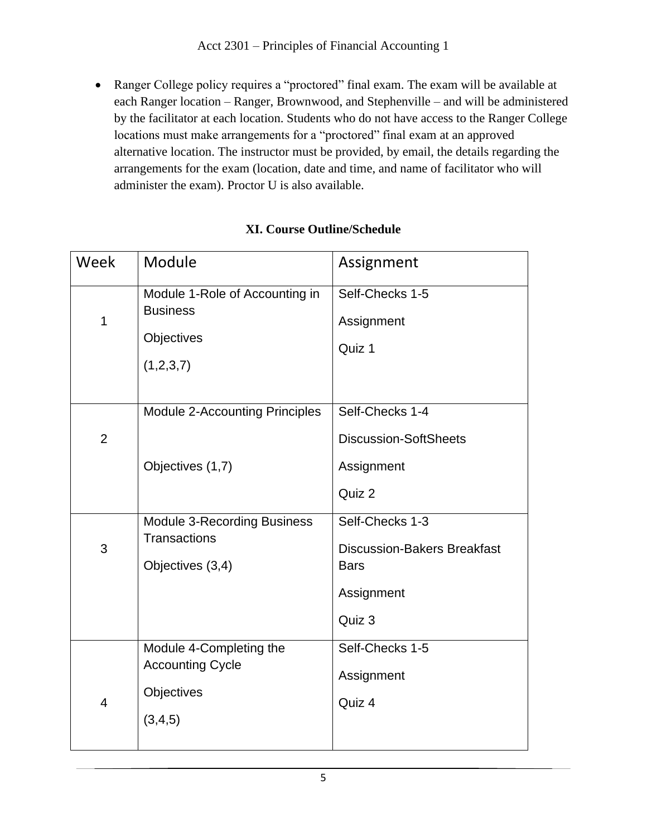• Ranger College policy requires a "proctored" final exam. The exam will be available at each Ranger location – Ranger, Brownwood, and Stephenville – and will be administered by the facilitator at each location. Students who do not have access to the Ranger College locations must make arrangements for a "proctored" final exam at an approved alternative location. The instructor must be provided, by email, the details regarding the arrangements for the exam (location, date and time, and name of facilitator who will administer the exam). Proctor U is also available.

| Week           | Module                                                                        | Assignment                                                                         |
|----------------|-------------------------------------------------------------------------------|------------------------------------------------------------------------------------|
| $\mathbf 1$    | Module 1-Role of Accounting in<br><b>Business</b><br>Objectives<br>(1,2,3,7)  | Self-Checks 1-5<br>Assignment<br>Quiz 1                                            |
| $\overline{2}$ | <b>Module 2-Accounting Principles</b>                                         | Self-Checks 1-4<br><b>Discussion-SoftSheets</b>                                    |
|                | Objectives (1,7)                                                              | Assignment<br>Quiz 2                                                               |
| 3              | <b>Module 3-Recording Business</b><br><b>Transactions</b><br>Objectives (3,4) | Self-Checks 1-3<br><b>Discussion-Bakers Breakfast</b><br><b>Bars</b><br>Assignment |
|                |                                                                               | Quiz 3                                                                             |
| $\overline{4}$ | Module 4-Completing the<br><b>Accounting Cycle</b><br>Objectives<br>(3,4,5)   | Self-Checks 1-5<br>Assignment<br>Quiz 4                                            |

# **XI. Course Outline/Schedule**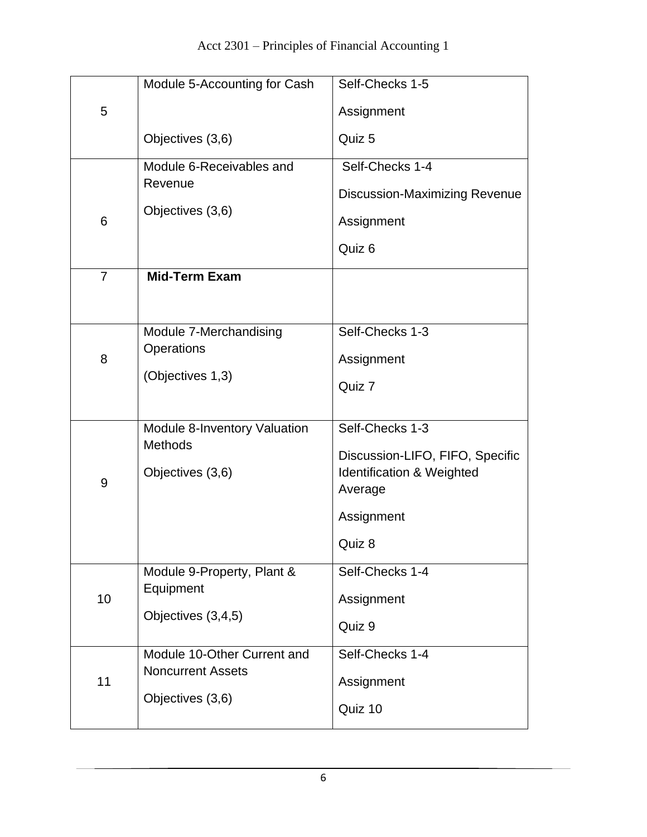|                | Module 5-Accounting for Cash                            | Self-Checks 1-5                      |
|----------------|---------------------------------------------------------|--------------------------------------|
| 5              |                                                         | Assignment                           |
|                | Objectives (3,6)                                        | Quiz 5                               |
|                | Module 6-Receivables and<br>Revenue                     | Self-Checks 1-4                      |
|                | Objectives (3,6)                                        | <b>Discussion-Maximizing Revenue</b> |
| 6              |                                                         | Assignment                           |
|                |                                                         | Quiz 6                               |
| $\overline{7}$ | <b>Mid-Term Exam</b>                                    |                                      |
|                |                                                         |                                      |
| 8              | Module 7-Merchandising                                  | Self-Checks 1-3                      |
|                | Operations                                              | Assignment                           |
|                | (Objectives 1,3)                                        | Quiz 7                               |
|                |                                                         |                                      |
|                | Module 8-Inventory Valuation<br><b>Methods</b>          | Self-Checks 1-3                      |
|                |                                                         | Discussion-LIFO, FIFO, Specific      |
| 9              | Objectives (3,6)                                        | Identification & Weighted<br>Average |
|                |                                                         | Assignment                           |
|                |                                                         | Quiz 8                               |
|                | Module 9-Property, Plant &                              | Self-Checks 1-4                      |
| 10             | Equipment                                               | Assignment                           |
|                | Objectives (3,4,5)                                      | Quiz 9                               |
|                |                                                         |                                      |
| 11             | Module 10-Other Current and<br><b>Noncurrent Assets</b> | Self-Checks 1-4                      |
|                | Objectives (3,6)                                        | Assignment                           |
|                |                                                         | Quiz 10                              |